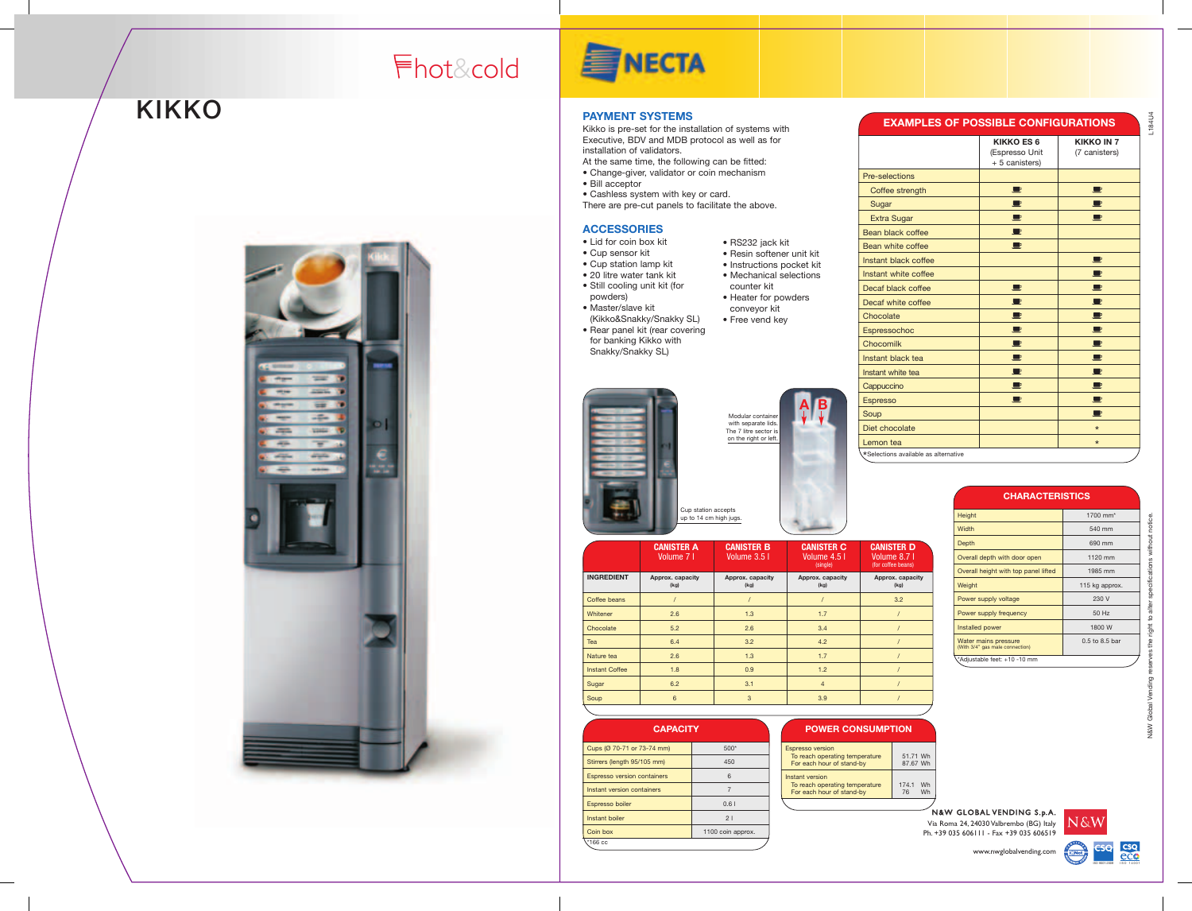

### **PAYMENT SYSTEMS**

Kikko is pre-set for the installation of systems with Executive, BDV and MDB protocol as well as for installation of validators.

> N&W Global Vending reserves the right to alter specifications without notice.  $8<sub>W</sub>$

- At the same time, the following can be fitted:
- Change-giver, validator or coin mechanism
- Bill acceptor
- Cashless system with key or card.
- There are pre-cut panels to facilitate the above.

N&W GLOBAL VENDING S.p.A. Via Roma 24, 24030 Valbrembo (BG) Italy Ph. +39 035 606111 - Fax +39 035 606519

L184U4

www.nwglobalvending.com

### **KIKKO**



# **SINECTA**



#### **ACCESSORIES**

- Instant black
- Instant white to **Cappuccino** Espresso Soup Diet chocolate **B**
- Lid for coin box kit
- Cup sensor kit
- Cup station lamp kit
- 20 litre water tank kit
- Still cooling unit kit (for
- powders) • Master/slave kit
- (Kikko&Snakky/Snakky SL) • Rear panel kit (rear covering
- for banking Kikko with Snakky/Snakky SL)
- RS232 jack kit • Resin softener unit kit
- Instructions pocket kit • Mechanical selections
- counter kit • Heater for powders
- conveyor kit
- Free vend key
- Espressochoc Chocomilk



| <b>EXAMPLES OF POSSIBLE CONFIGURATIONS</b> |                                                       |                                    |  |  |
|--------------------------------------------|-------------------------------------------------------|------------------------------------|--|--|
|                                            | <b>KIKKO ES 6</b><br>(Espresso Unit<br>+ 5 canisters) | <b>KIKKO IN 7</b><br>(7 canisters) |  |  |
| Pre-selections                             |                                                       |                                    |  |  |
| Coffee strength                            | $\Box$                                                | <b>D</b>                           |  |  |
| Sugar                                      | ₽                                                     |                                    |  |  |
| <b>Extra Sugar</b>                         | P                                                     |                                    |  |  |
| Bean black coffee                          | P                                                     |                                    |  |  |
| Bean white coffee                          | $\blacksquare$                                        |                                    |  |  |
| Instant black coffee                       |                                                       |                                    |  |  |
| Instant white coffee                       |                                                       |                                    |  |  |
| Decaf black coffee                         | ш                                                     |                                    |  |  |
| Decaf white coffee                         | P                                                     | $\mathbf{P}$                       |  |  |
| Chocolate                                  | $\blacksquare$                                        | <b>D</b>                           |  |  |
| Espressochoc                               | P                                                     | $\blacksquare$                     |  |  |
| Chocomilk                                  | ┖                                                     |                                    |  |  |
| Instant black tea                          | $\blacksquare$                                        | $\mathbf{P}$                       |  |  |
| Instant white tea                          | ■                                                     | $\blacksquare$                     |  |  |
| Cappuccino                                 | $\blacksquare$                                        | $\blacksquare$                     |  |  |
| <b>Espresso</b>                            | U                                                     | $\Box$                             |  |  |
| Soup                                       |                                                       | $\blacksquare$                     |  |  |
| Diet chocolate                             |                                                       | $\star$                            |  |  |
| Lemon tea                                  |                                                       | $\star$                            |  |  |
| *Selections available as alternative       |                                                       |                                    |  |  |

|                       | <b>CANISTER A</b><br>Volume 7 I | <b>CANISTER B</b><br>Volume 3.5 I | <b>CANISTER C</b><br>Volume 4.5 I<br>(single) | <b>CANISTER D</b><br>Volume 8.7 I<br>(for coffee beans) |
|-----------------------|---------------------------------|-----------------------------------|-----------------------------------------------|---------------------------------------------------------|
| <b>INGREDIENT</b>     | Approx. capacity<br>(kg)        | Approx. capacity<br>(kg)          | Approx. capacity<br>(kg)                      | Approx. capacity<br>(kg)                                |
| Coffee beans          |                                 |                                   |                                               | 3.2                                                     |
| Whitener              | 2.6                             | 1.3                               | 1.7                                           |                                                         |
| Chocolate             | 5.2                             | 2.6                               | 3.4                                           |                                                         |
| Tea                   | 6.4                             | 3.2                               | 4.2                                           |                                                         |
| Nature tea            | 2.6                             | 1.3                               | 1.7                                           |                                                         |
| <b>Instant Coffee</b> | 1.8                             | 0.9                               | 1.2                                           |                                                         |
| Sugar                 | 6.2                             | 3.1                               | $\overline{4}$                                |                                                         |
| Soup                  | 6                               | 3                                 | 3.9                                           |                                                         |
|                       |                                 |                                   |                                               |                                                         |

### **CHARACTERISTICS**

| Height                                                  | 1700 mm <sup>*</sup> |
|---------------------------------------------------------|----------------------|
| Width                                                   | 540 mm               |
| Depth                                                   | 690 mm               |
| Overall depth with door open                            | 1120 mm              |
| Overall height with top panel lifted                    | 1985 mm              |
| Weight                                                  | 115 kg approx.       |
| Power supply voltage                                    | 230 V                |
| Power supply frequency                                  | 50 Hz                |
| Installed power                                         | 1800 W               |
| Water mains pressure<br>(With 3/4" gas male connection) | $0.5$ to $8.5$ bar   |
| Adjustable feet: +10 -10 mm*                            |                      |

| <b>CAPACITY</b>                    |                   |  |  |
|------------------------------------|-------------------|--|--|
| Cups (Ø 70-71 or 73-74 mm)         | $500*$            |  |  |
| Stirrers (length 95/105 mm)        | 450               |  |  |
| <b>Espresso version containers</b> | 6                 |  |  |
| Instant version containers         | 7                 |  |  |
| Espresso boiler                    | 0.61              |  |  |
| Instant boiler                     | 21                |  |  |
| Coin box                           | 1100 coin approx. |  |  |
| *166 cc                            |                   |  |  |

| <b>Espresso version</b><br>To reach operating temperature<br>For each hour of stand-by | 51.71 Wh<br>87.67 Wh    |
|----------------------------------------------------------------------------------------|-------------------------|
| Instant version<br>To reach operating temperature<br>For each hour of stand-by         | 174.1<br>Wh<br>76<br>Wh |
|                                                                                        |                         |



### **POWER CONSUMPTION**

## hot &cold